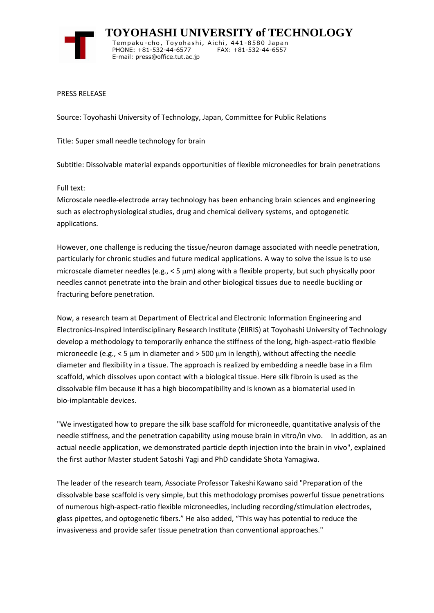

 **TOYOHASHI UNIVERSITY of TECHNOLOGY** Tempaku-cho, Toyohashi, Aichi, 441-8580 Japan PHONE: +81-532-44-6577 FAX: +81-532-44-6557 E-mail: press@office.tut.ac.jp

## PRESS RELEASE

Source: Toyohashi University of Technology, Japan, Committee for Public Relations

Title: Super small needle technology for brain

Subtitle: Dissolvable material expands opportunities of flexible microneedles for brain penetrations

Full text:

Microscale needle-electrode array technology has been enhancing brain sciences and engineering such as electrophysiological studies, drug and chemical delivery systems, and optogenetic applications.

However, one challenge is reducing the tissue/neuron damage associated with needle penetration, particularly for chronic studies and future medical applications. A way to solve the issue is to use microscale diameter needles (e.g.,  $<$  5  $\mu$ m) along with a flexible property, but such physically poor needles cannot penetrate into the brain and other biological tissues due to needle buckling or fracturing before penetration.

Now, a research team at Department of Electrical and Electronic Information Engineering and Electronics-Inspired Interdisciplinary Research Institute (EIIRIS) at Toyohashi University of Technology develop a methodology to temporarily enhance the stiffness of the long, high-aspect-ratio flexible microneedle (e.g.,  $<$  5  $\mu$ m in diameter and > 500  $\mu$ m in length), without affecting the needle diameter and flexibility in a tissue. The approach is realized by embedding a needle base in a film scaffold, which dissolves upon contact with a biological tissue. Here silk fibroin is used as the dissolvable film because it has a high biocompatibility and is known as a biomaterial used in bio-implantable devices.

"We investigated how to prepare the silk base scaffold for microneedle, quantitative analysis of the needle stiffness, and the penetration capability using mouse brain in vitro/in vivo. In addition, as an actual needle application, we demonstrated particle depth injection into the brain in vivo", explained the first author Master student Satoshi Yagi and PhD candidate Shota Yamagiwa.

The leader of the research team, Associate Professor Takeshi Kawano said "Preparation of the dissolvable base scaffold is very simple, but this methodology promises powerful tissue penetrations of numerous high-aspect-ratio flexible microneedles, including recording/stimulation electrodes, glass pipettes, and optogenetic fibers." He also added, "This way has potential to reduce the invasiveness and provide safer tissue penetration than conventional approaches."